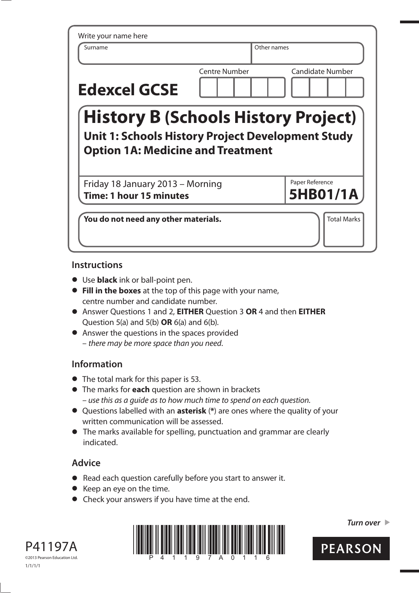| Surname                                                                                              |                      | Other names                        |
|------------------------------------------------------------------------------------------------------|----------------------|------------------------------------|
| <b>Edexcel GCSE</b>                                                                                  | <b>Centre Number</b> | <b>Candidate Number</b>            |
| <b>History B (Schools History Project)</b>                                                           |                      |                                    |
| <b>Unit 1: Schools History Project Development Study</b><br><b>Option 1A: Medicine and Treatment</b> |                      |                                    |
| Friday 18 January 2013 – Morning<br>Time: 1 hour 15 minutes                                          |                      | Paper Reference<br><b>5HB01/1A</b> |

### **Instructions**

- **t** Use **black** ink or ball-point pen.
- **Fill in the boxes** at the top of this page with your name, centre number and candidate number.
- **t** Answer Questions 1 and 2, **EITHER** Question 3 **OR** 4 and then **EITHER** Question 5(a) and 5(b) **OR** 6(a) and 6(b).
- **•** Answer the questions in the spaces provided – there may be more space than you need.

## **Information**

- The total mark for this paper is 53.
- **t** The marks for **each** question are shown in brackets – use this as a guide as to how much time to spend on each question.
- **t** Questions labelled with an **asterisk** (**\***) are ones where the quality of your written communication will be assessed.
- **•** The marks available for spelling, punctuation and grammar are clearly indicated.

# **Advice**

- **t** Read each question carefully before you start to answer it.
- **•** Keep an eye on the time.
- **•** Check your answers if you have time at the end.





*Turn over* 

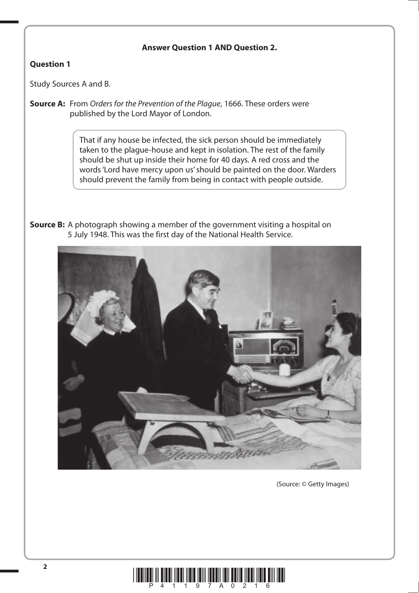### **Answer Question 1 AND Question 2.**

### **Question 1**

Study Sources A and B.

That if any house be infected, the sick person should be immediately taken to the plague-house and kept in isolation. The rest of the family should be shut up inside their home for 40 days. A red cross and the words 'Lord have mercy upon us' should be painted on the door. Warders should prevent the family from being in contact with people outside.

**Source B:** A photograph showing a member of the government visiting a hospital on 5 July 1948. This was the first day of the National Health Service.



(Source: © Getty Images)



**Source A:** From Orders for the Prevention of the Plague, 1666. These orders were published by the Lord Mayor of London.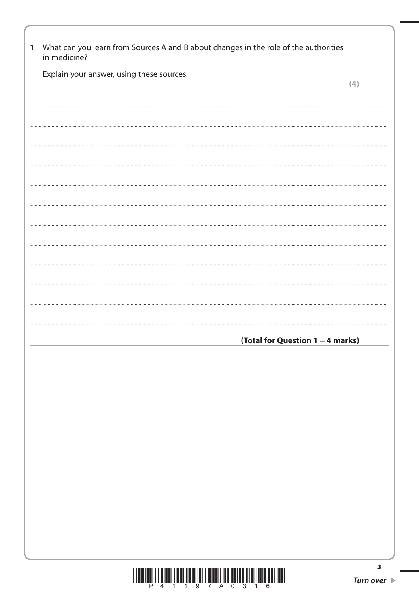| What can you learn from Sources A and B about changes in the role of the authorities<br>$\mathbf{1}$<br>in medicine? |                                  |
|----------------------------------------------------------------------------------------------------------------------|----------------------------------|
| Explain your answer, using these sources.                                                                            | (4)                              |
|                                                                                                                      |                                  |
|                                                                                                                      |                                  |
|                                                                                                                      |                                  |
|                                                                                                                      |                                  |
|                                                                                                                      |                                  |
|                                                                                                                      |                                  |
|                                                                                                                      |                                  |
|                                                                                                                      |                                  |
|                                                                                                                      |                                  |
|                                                                                                                      |                                  |
|                                                                                                                      | (Total for Question 1 = 4 marks) |
|                                                                                                                      |                                  |
|                                                                                                                      |                                  |
|                                                                                                                      |                                  |
|                                                                                                                      |                                  |
|                                                                                                                      |                                  |
|                                                                                                                      |                                  |
|                                                                                                                      |                                  |
|                                                                                                                      |                                  |
|                                                                                                                      |                                  |
|                                                                                                                      | $\mathbf 3$<br>Turn over 1       |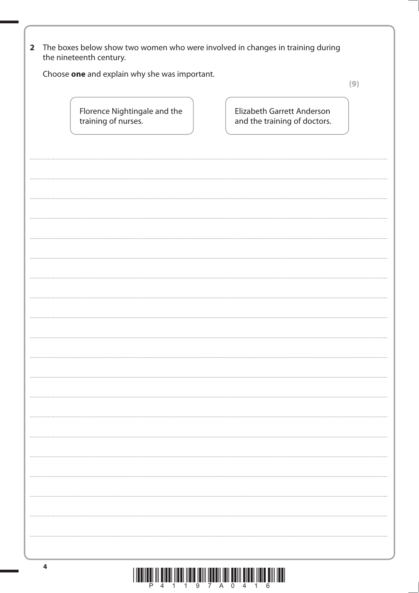| The boxes below show two women who were involved in changes in training during<br>the nineteenth century. |                                                            |     |
|-----------------------------------------------------------------------------------------------------------|------------------------------------------------------------|-----|
| Choose one and explain why she was important.                                                             |                                                            | (9) |
| Florence Nightingale and the<br>training of nurses.                                                       | Elizabeth Garrett Anderson<br>and the training of doctors. |     |
|                                                                                                           |                                                            |     |
|                                                                                                           |                                                            |     |
|                                                                                                           |                                                            |     |
|                                                                                                           |                                                            |     |
|                                                                                                           |                                                            |     |
|                                                                                                           |                                                            |     |
|                                                                                                           |                                                            |     |
|                                                                                                           |                                                            |     |
|                                                                                                           |                                                            |     |
|                                                                                                           |                                                            |     |
|                                                                                                           |                                                            |     |
|                                                                                                           |                                                            |     |
|                                                                                                           |                                                            |     |
|                                                                                                           |                                                            |     |
|                                                                                                           |                                                            |     |
|                                                                                                           |                                                            |     |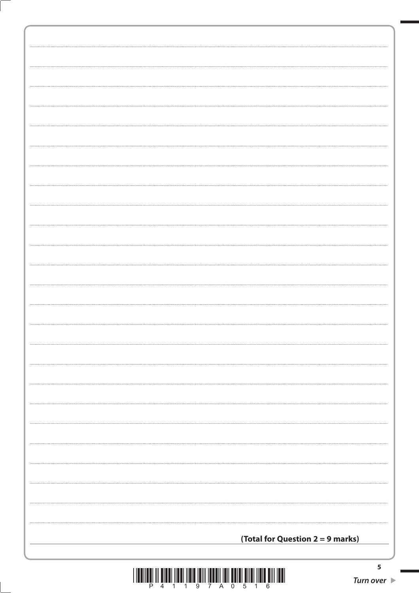| (Total for Question 2 = 9 marks) |
|----------------------------------|
|                                  |
| 5                                |

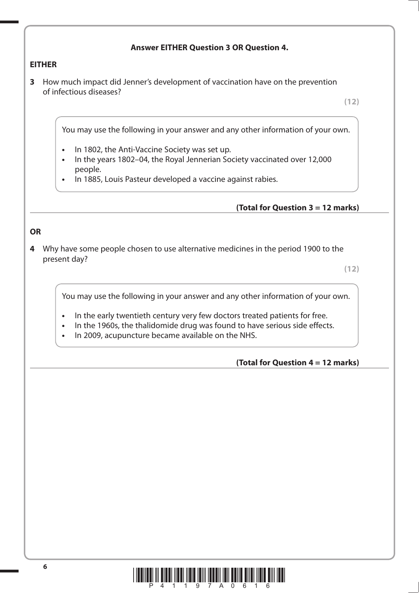### **Answer EITHER Question 3 OR Question 4.**

### **EITHER**

**3** How much impact did Jenner's development of vaccination have on the prevention of infectious diseases?

**(12)**

You may use the following in your answer and any other information of your own.

- **t** In 1802, the Anti-Vaccine Society was set up.
- **t** In the years 1802–04, the Royal Jennerian Society vaccinated over 12,000 people.
- **t** In 1885, Louis Pasteur developed a vaccine against rabies.

#### **(Total for Question 3 = 12 marks)**

### **OR**

**4** Why have some people chosen to use alternative medicines in the period 1900 to the present day?

**(12)**

You may use the following in your answer and any other information of your own.

- **t** In the early twentieth century very few doctors treated patients for free.
- In the 1960s, the thalidomide drug was found to have serious side effects.
- **t** In 2009, acupuncture became available on the NHS.

#### **(Total for Question 4 = 12 marks)**

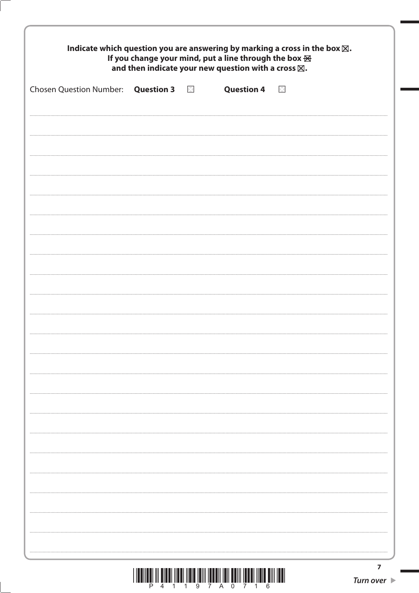| Indicate which question you are answering by marking a cross in the box $\boxtimes$ .<br>If you change your mind, put a line through the box $\boxtimes$<br>and then indicate your new question with a cross $\boxtimes$ . |  |  |  |                             |
|----------------------------------------------------------------------------------------------------------------------------------------------------------------------------------------------------------------------------|--|--|--|-----------------------------|
| Chosen Question Number: Question 3 2 Question 4 2                                                                                                                                                                          |  |  |  |                             |
|                                                                                                                                                                                                                            |  |  |  |                             |
|                                                                                                                                                                                                                            |  |  |  |                             |
|                                                                                                                                                                                                                            |  |  |  |                             |
|                                                                                                                                                                                                                            |  |  |  |                             |
|                                                                                                                                                                                                                            |  |  |  |                             |
|                                                                                                                                                                                                                            |  |  |  |                             |
|                                                                                                                                                                                                                            |  |  |  |                             |
|                                                                                                                                                                                                                            |  |  |  |                             |
|                                                                                                                                                                                                                            |  |  |  |                             |
|                                                                                                                                                                                                                            |  |  |  |                             |
|                                                                                                                                                                                                                            |  |  |  |                             |
|                                                                                                                                                                                                                            |  |  |  |                             |
|                                                                                                                                                                                                                            |  |  |  |                             |
|                                                                                                                                                                                                                            |  |  |  |                             |
|                                                                                                                                                                                                                            |  |  |  |                             |
|                                                                                                                                                                                                                            |  |  |  |                             |
|                                                                                                                                                                                                                            |  |  |  |                             |
|                                                                                                                                                                                                                            |  |  |  | $\overline{7}$<br>Turn over |

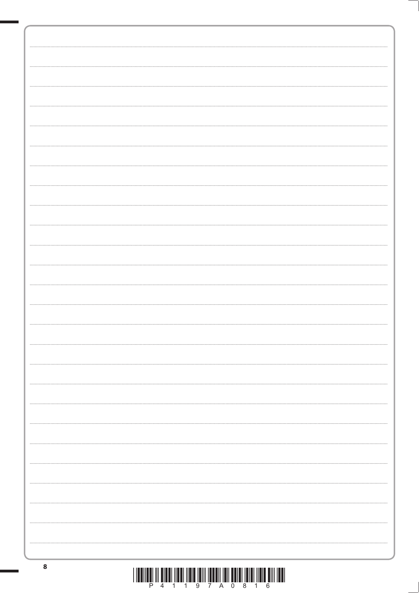| 8 | <u> I INDILAN III KINDI IINDI IININ IBIII INDILLATI KUNI IKINI IINI KIIL IKU I</u> |  |
|---|------------------------------------------------------------------------------------|--|

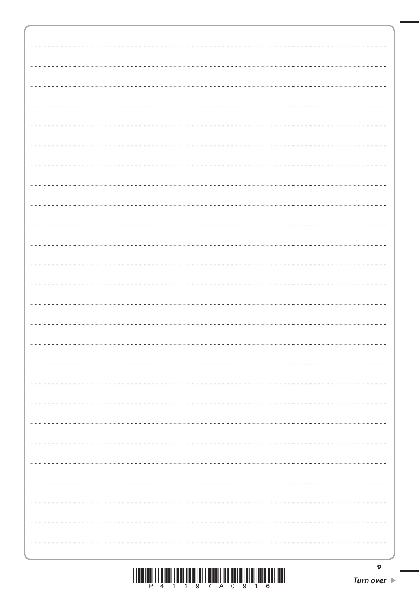| <u> I III MARTIN MARKA MARKA MARKA MARKA MARKA MARKA MARKA MARKA MARKA MARKA MARKA MARKA MARKA MARKA MARKA MARKA</u> |                       |  |  |  |  |  |
|----------------------------------------------------------------------------------------------------------------------|-----------------------|--|--|--|--|--|
|                                                                                                                      | P 4 1 1 9 7 A 0 9 1 6 |  |  |  |  |  |

| 9 |
|---|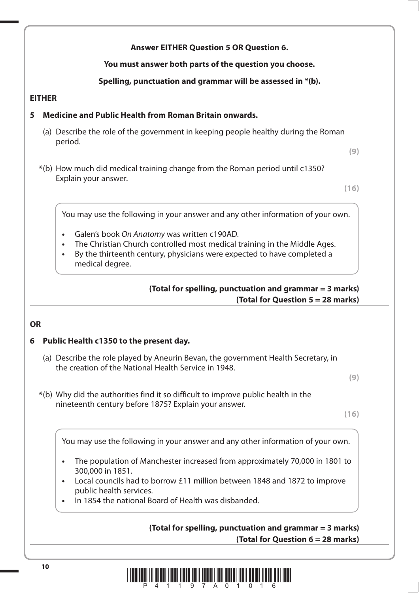### **Answer EITHER Question 5 OR Question 6.**

### **You must answer both parts of the question you choose.**

### **Spelling, punctuation and grammar will be assessed in \*(b).**

### **EITHER**

### **5 Medicine and Public Health from Roman Britain onwards.**

- (a) Describe the role of the government in keeping people healthy during the Roman period.
- **\*** (b) How much did medical training change from the Roman period until c1350? Explain your answer.

**(16)**

**(9)**

You may use the following in your answer and any other information of your own.

- **t** Galen's book On Anatomy was written c190AD.
- **t** The Christian Church controlled most medical training in the Middle Ages.
- **t** By the thirteenth century, physicians were expected to have completed a medical degree.

### **(Total for spelling, punctuation and grammar = 3 marks) (Total for Question 5 = 28 marks)**

### **OR**

#### **6 Public Health c1350 to the present day.**

 (a) Describe the role played by Aneurin Bevan, the government Health Secretary, in the creation of the National Health Service in 1948.

**(9)**

 **\*** (b) Why did the authorities find it so difficult to improve public health in the nineteenth century before 1875? Explain your answer.

**(16)**

You may use the following in your answer and any other information of your own.

- **t** The population of Manchester increased from approximately 70,000 in 1801 to 300,000 in 1851.
- **t** Local councils had to borrow £11 million between 1848 and 1872 to improve public health services.
- **t** In 1854 the national Board of Health was disbanded.

### **(Total for spelling, punctuation and grammar = 3 marks) (Total for Question 6 = 28 marks)**

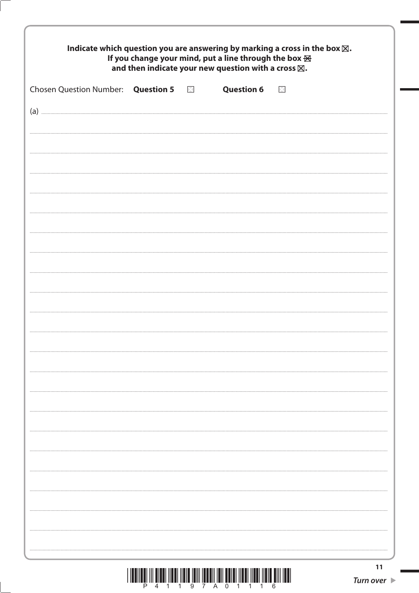| Indicate which question you are answering by marking a cross in the box $\boxtimes$ .<br>If you change your mind, put a line through the box $\boxtimes$<br>and then indicate your new question with a cross $\boxtimes.$ |  |  |  |             |
|---------------------------------------------------------------------------------------------------------------------------------------------------------------------------------------------------------------------------|--|--|--|-------------|
| Chosen Question Number: Question 5 2 Question 6 2                                                                                                                                                                         |  |  |  |             |
|                                                                                                                                                                                                                           |  |  |  |             |
|                                                                                                                                                                                                                           |  |  |  |             |
|                                                                                                                                                                                                                           |  |  |  |             |
|                                                                                                                                                                                                                           |  |  |  |             |
|                                                                                                                                                                                                                           |  |  |  |             |
|                                                                                                                                                                                                                           |  |  |  |             |
|                                                                                                                                                                                                                           |  |  |  |             |
|                                                                                                                                                                                                                           |  |  |  |             |
|                                                                                                                                                                                                                           |  |  |  |             |
|                                                                                                                                                                                                                           |  |  |  |             |
|                                                                                                                                                                                                                           |  |  |  |             |
|                                                                                                                                                                                                                           |  |  |  |             |
|                                                                                                                                                                                                                           |  |  |  |             |
|                                                                                                                                                                                                                           |  |  |  |             |
|                                                                                                                                                                                                                           |  |  |  |             |
|                                                                                                                                                                                                                           |  |  |  |             |
|                                                                                                                                                                                                                           |  |  |  |             |
|                                                                                                                                                                                                                           |  |  |  |             |
|                                                                                                                                                                                                                           |  |  |  |             |
|                                                                                                                                                                                                                           |  |  |  | 11          |
|                                                                                                                                                                                                                           |  |  |  | Turn over 1 |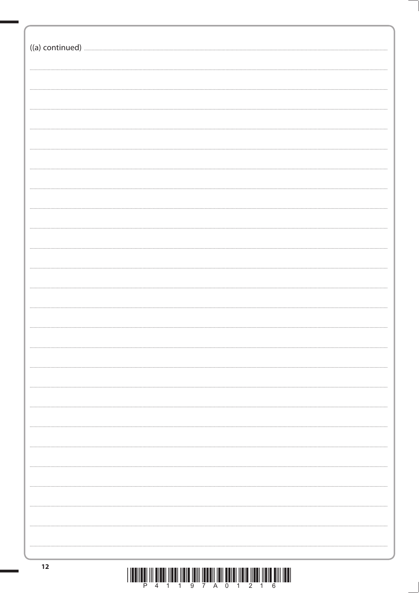| $12$ |  |
|------|--|

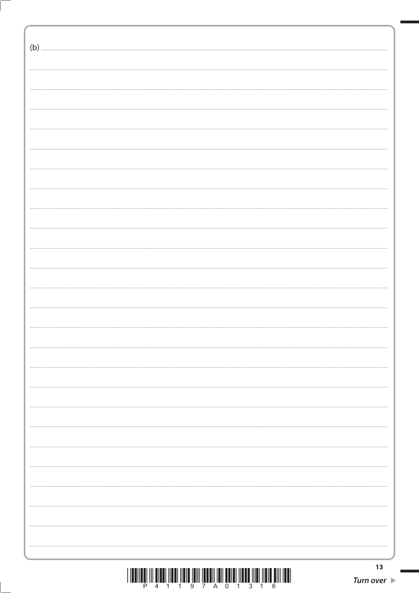| (b) |    |
|-----|----|
|     |    |
|     |    |
|     |    |
|     |    |
|     |    |
|     |    |
|     |    |
|     |    |
|     |    |
|     |    |
|     |    |
|     |    |
|     |    |
|     |    |
|     |    |
|     |    |
|     |    |
|     |    |
|     |    |
|     |    |
|     |    |
|     |    |
|     |    |
|     |    |
|     |    |
|     | 13 |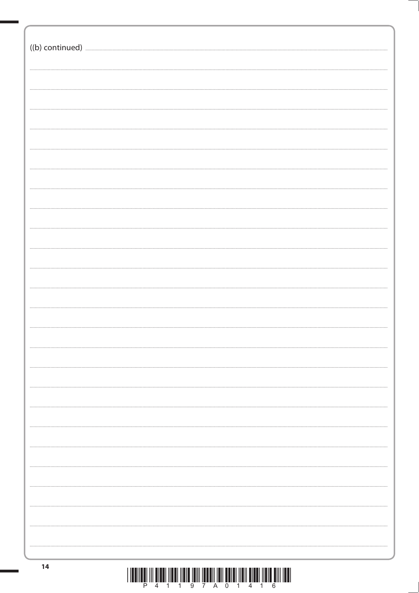| 14 |  |
|----|--|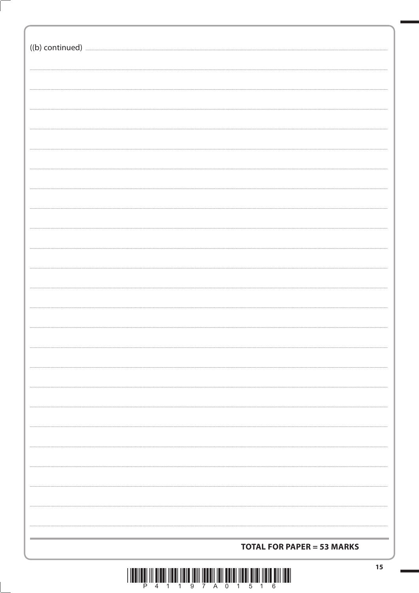| <b>TOTAL FOR PAPER = 53 MARKS</b> | 15 |
|-----------------------------------|----|